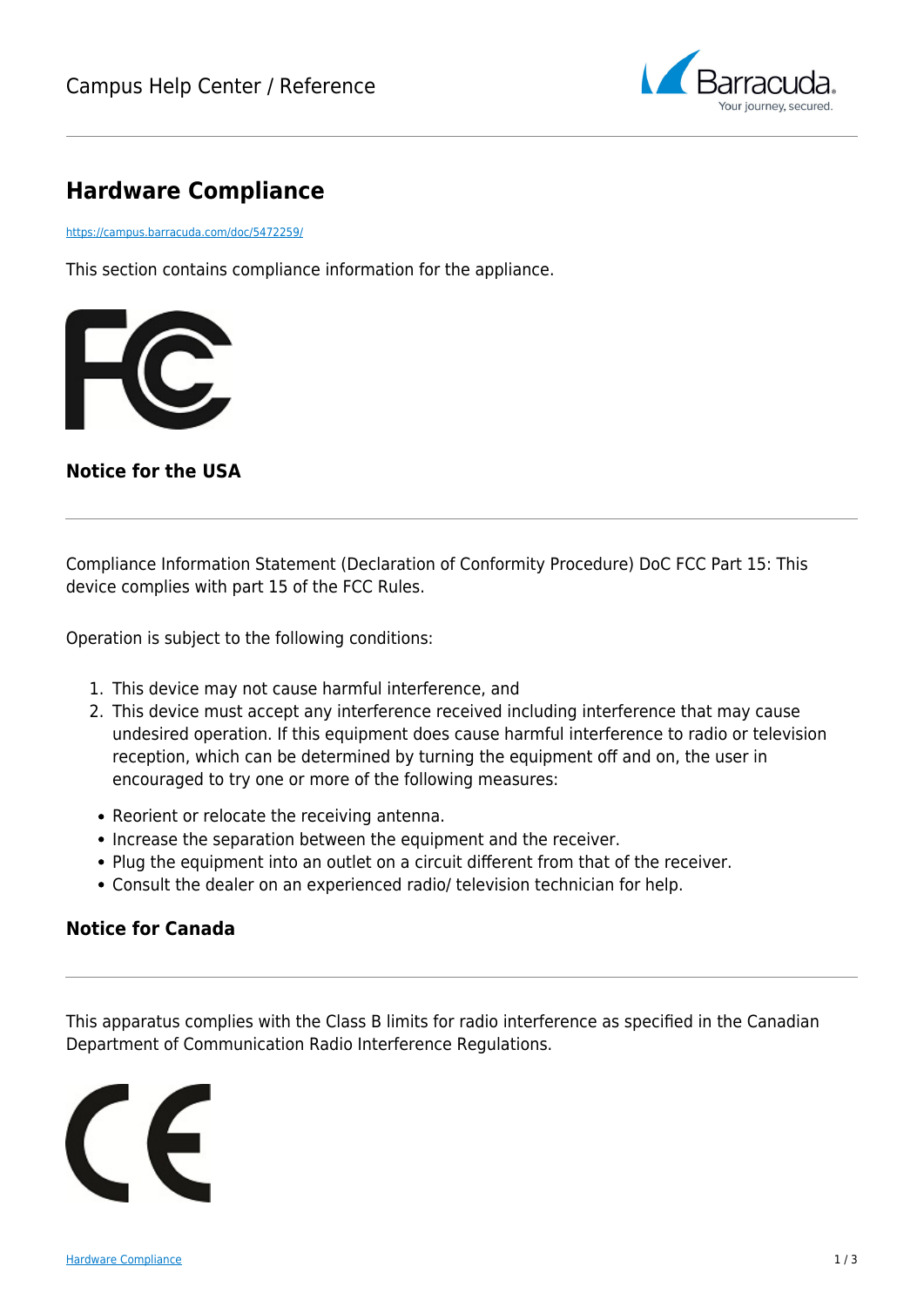

# **Hardware Compliance**

<https://campus.barracuda.com/doc/5472259/>

This section contains compliance information for the appliance.



### **Notice for the USA**

Compliance Information Statement (Declaration of Conformity Procedure) DoC FCC Part 15: This device complies with part 15 of the FCC Rules.

Operation is subject to the following conditions:

- 1. This device may not cause harmful interference, and
- 2. This device must accept any interference received including interference that may cause undesired operation. If this equipment does cause harmful interference to radio or television reception, which can be determined by turning the equipment off and on, the user in encouraged to try one or more of the following measures:
- Reorient or relocate the receiving antenna.
- Increase the separation between the equipment and the receiver.
- Plug the equipment into an outlet on a circuit different from that of the receiver.
- Consult the dealer on an experienced radio/ television technician for help.

### **Notice for Canada**

This apparatus complies with the Class B limits for radio interference as specified in the Canadian Department of Communication Radio Interference Regulations.

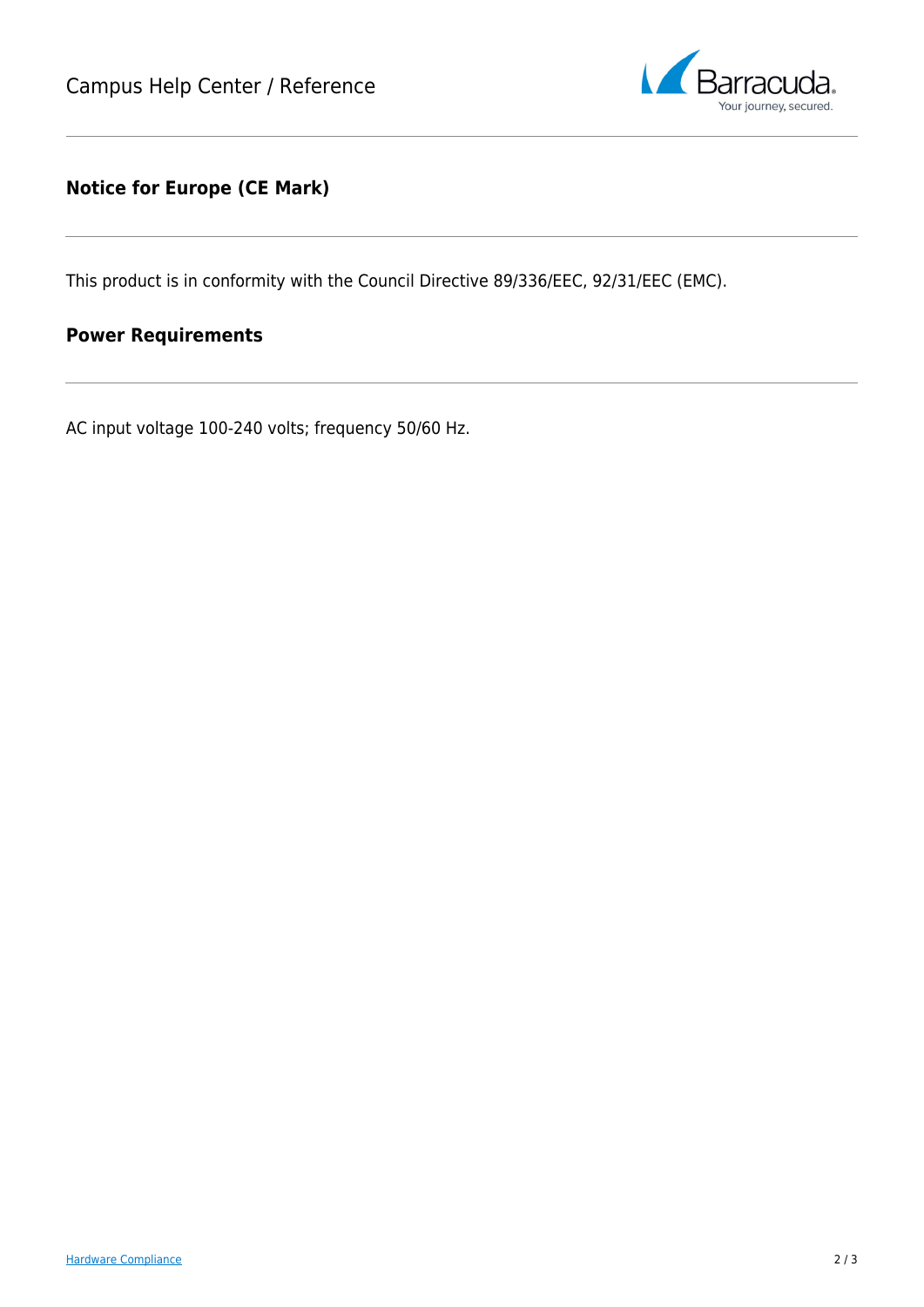

### **Notice for Europe (CE Mark)**

This product is in conformity with the Council Directive 89/336/EEC, 92/31/EEC (EMC).

## **Power Requirements**

AC input voltage 100-240 volts; frequency 50/60 Hz.